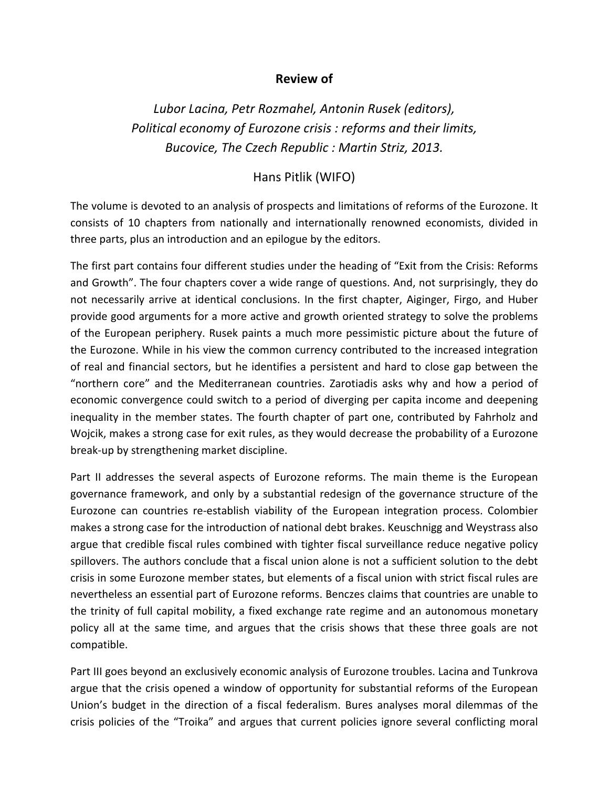## **Review of**

*Lubor&Lacina,&Petr&Rozmahel,&Antonin&Rusek&(editors), Political economy of Eurozone crisis : reforms and their limits, Bucovice,&The&Czech&Republic&:&Martin&Striz,&2013.*

## Hans Pitlik (WIFO)

The volume is devoted to an analysis of prospects and limitations of reforms of the Eurozone. It consists of 10 chapters from nationally and internationally renowned economists, divided in three parts, plus an introduction and an epilogue by the editors.

The first part contains four different studies under the heading of "Exit from the Crisis: Reforms and Growth". The four chapters cover a wide range of questions. And, not surprisingly, they do not necessarily arrive at identical conclusions. In the first chapter, Aiginger, Firgo, and Huber provide good arguments for a more active and growth oriented strategy to solve the problems of the European periphery. Rusek paints a much more pessimistic picture about the future of the Eurozone. While in his view the common currency contributed to the increased integration of real and financial sectors, but he identifies a persistent and hard to close gap between the "northern core" and the Mediterranean countries. Zarotiadis asks why and how a period of economic convergence could switch to a period of diverging per capita income and deepening inequality in the member states. The fourth chapter of part one, contributed by Fahrholz and Woicik, makes a strong case for exit rules, as they would decrease the probability of a Eurozone break-up by strengthening market discipline.

Part II addresses the several aspects of Eurozone reforms. The main theme is the European governance framework, and only by a substantial redesign of the governance structure of the Eurozone can countries re-establish viability of the European integration process. Colombier makes a strong case for the introduction of national debt brakes. Keuschnigg and Weystrass also argue that credible fiscal rules combined with tighter fiscal surveillance reduce negative policy spillovers. The authors conclude that a fiscal union alone is not a sufficient solution to the debt crisis in some Eurozone member states, but elements of a fiscal union with strict fiscal rules are nevertheless an essential part of Eurozone reforms. Benczes claims that countries are unable to the trinity of full capital mobility, a fixed exchange rate regime and an autonomous monetary policy all at the same time, and argues that the crisis shows that these three goals are not compatible.

Part III goes beyond an exclusively economic analysis of Eurozone troubles. Lacina and Tunkrova argue that the crisis opened a window of opportunity for substantial reforms of the European Union's budget in the direction of a fiscal federalism. Bures analyses moral dilemmas of the crisis policies of the "Troika" and argues that current policies ignore several conflicting moral